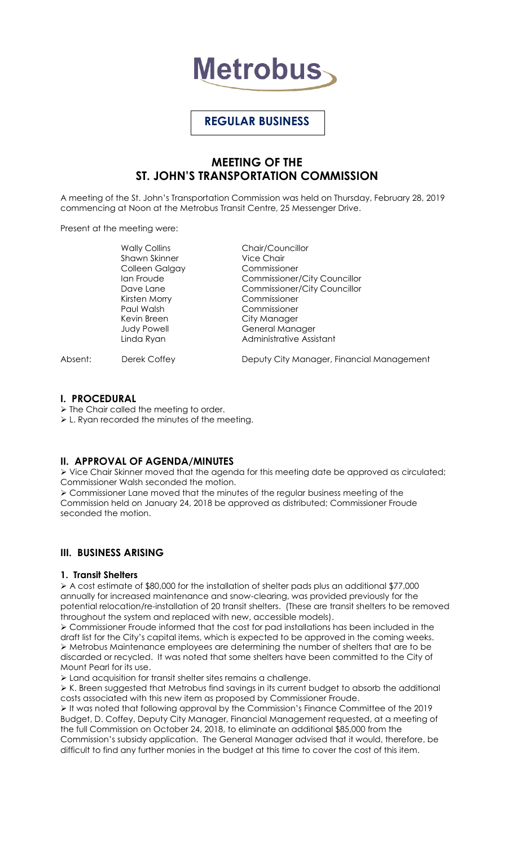

# **REGULAR BUSINESS**

# **MEETING OF THE ST. JOHN'S TRANSPORTATION COMMISSION**

A meeting of the St. John's Transportation Commission was held on Thursday, February 28, 2019 commencing at Noon at the Metrobus Transit Centre, 25 Messenger Drive.

Present at the meeting were:

Wally Collins **Chair/Councillor** Shawn Skinner Vice Chair Colleen Galgay Commissioner Kirsten Morry Commissioner Paul Walsh Commissioner Kevin Breen City Manager Judy Powell **General Manager** Linda Ryan **Administrative Assistant** 

Ian Froude **Commissioner/City Councillor** Dave Lane **Commissioner/City Councillor** 

Absent: Derek Coffey **Deputy City Manager, Financial Management** 

## **I. PROCEDURAL**

 $\triangleright$  The Chair called the meeting to order.

L. Ryan recorded the minutes of the meeting.

# **II. APPROVAL OF AGENDA/MINUTES**

 Vice Chair Skinner moved that the agenda for this meeting date be approved as circulated; Commissioner Walsh seconded the motion.

 Commissioner Lane moved that the minutes of the regular business meeting of the Commission held on January 24, 2018 be approved as distributed; Commissioner Froude seconded the motion.

# **III. BUSINESS ARISING**

## **1. Transit Shelters**

 A cost estimate of \$80,000 for the installation of shelter pads plus an additional \$77,000 annually for increased maintenance and snow-clearing, was provided previously for the potential relocation/re-installation of 20 transit shelters. (These are transit shelters to be removed throughout the system and replaced with new, accessible models).

 Commissioner Froude informed that the cost for pad installations has been included in the draft list for the City's capital items, which is expected to be approved in the coming weeks. Metrobus Maintenance employees are determining the number of shelters that are to be discarded or recycled. It was noted that some shelters have been committed to the City of Mount Pearl for its use.

Land acquisition for transit shelter sites remains a challenge.

 $\triangleright$  K. Breen suggested that Metrobus find savings in its current budget to absorb the additional costs associated with this new item as proposed by Commissioner Froude.

 It was noted that following approval by the Commission's Finance Committee of the 2019 Budget, D. Coffey, Deputy City Manager, Financial Management requested, at a meeting of the full Commission on October 24, 2018, to eliminate an additional \$85,000 from the Commission's subsidy application. The General Manager advised that it would, therefore, be difficult to find any further monies in the budget at this time to cover the cost of this item.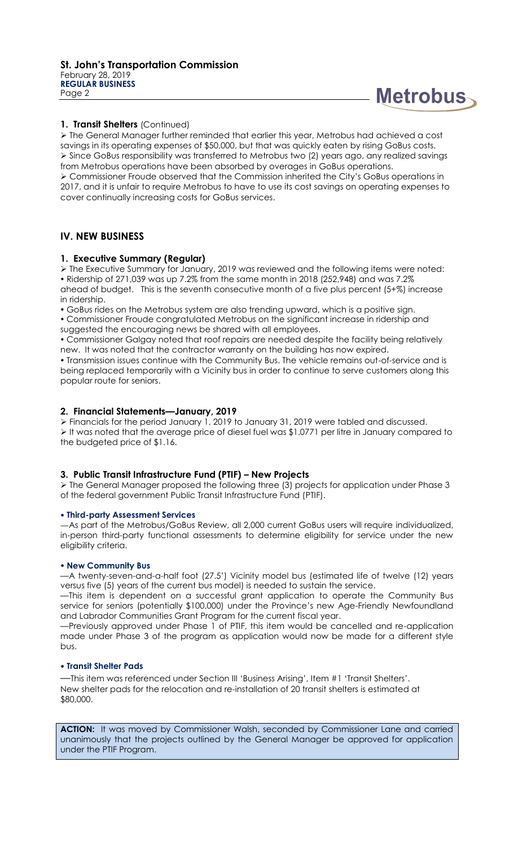

#### **1. Transit Shelters** (Continued)

 The General Manager further reminded that earlier this year, Metrobus had achieved a cost savings in its operating expenses of \$50,000, but that was quickly eaten by rising GoBus costs. Since GoBus responsibility was transferred to Metrobus two (2) years ago, any realized savings from Metrobus operations have been absorbed by overages in GoBus operations. Commissioner Froude observed that the Commission inherited the City's GoBus operations in 2017, and it is unfair to require Metrobus to have to use its cost savings on operating expenses to cover continually increasing costs for GoBus services.

# **IV. NEW BUSINESS**

#### **1. Executive Summary (Regular)**

 The Executive Summary for January, 2019 was reviewed and the following items were noted: Ridership of 271,039 was up 7.2% from the same month in 2018 (252,948) and was 7.2% ahead of budget. This is the seventh consecutive month of a five plus percent (5+%) increase in ridership.

GoBus rides on the Metrobus system are also trending upward, which is a positive sign.

 Commissioner Froude congratulated Metrobus on the significant increase in ridership and suggested the encouraging news be shared with all employees.

 Commissioner Galgay noted that roof repairs are needed despite the facility being relatively new. It was noted that the contractor warranty on the building has now expired.

 Transmission issues continue with the Community Bus. The vehicle remains out-of-service and is being replaced temporarily with a Vicinity bus in order to continue to serve customers along this popular route for seniors.

#### **2. Financial Statements—January, 2019**

 Financials for the period January 1, 2019 to January 31, 2019 were tabled and discussed. It was noted that the average price of diesel fuel was \$1.0771 per litre in January compared to the budgeted price of \$1.16.

## **3. Public Transit Infrastructure Fund (PTIF) – New Projects**

 The General Manager proposed the following three (3) projects for application under Phase 3 of the federal government Public Transit Infrastructure Fund (PTIF).

#### **Third-party Assessment Services**

—As part of the Metrobus/GoBus Review, all 2,000 current GoBus users will require individualized, in-person third-party functional assessments to determine eligibility for service under the new eligibility criteria.

#### **New Community Bus**

—A twenty-seven-and-a-half foot (27.5') Vicinity model bus (estimated life of twelve (12) years versus five (5) years of the current bus model) is needed to sustain the service.

—This item is dependent on a successful grant application to operate the Community Bus service for seniors (potentially \$100,000) under the Province's new Age-Friendly Newfoundland and Labrador Communities Grant Program for the current fiscal year.

—Previously approved under Phase 1 of PTIF, this item would be cancelled and re-application made under Phase 3 of the program as application would now be made for a different style bus.

#### **Transit Shelter Pads**

—This item was referenced under Section III 'Business Arising', Item #1 'Transit Shelters'. New shelter pads for the relocation and re-installation of 20 transit shelters is estimated at \$80,000.

ACTION: It was moved by Commissioner Walsh, seconded by Commissioner Lane and carried unanimously that the projects outlined by the General Manager be approved for application under the PTIF Program.